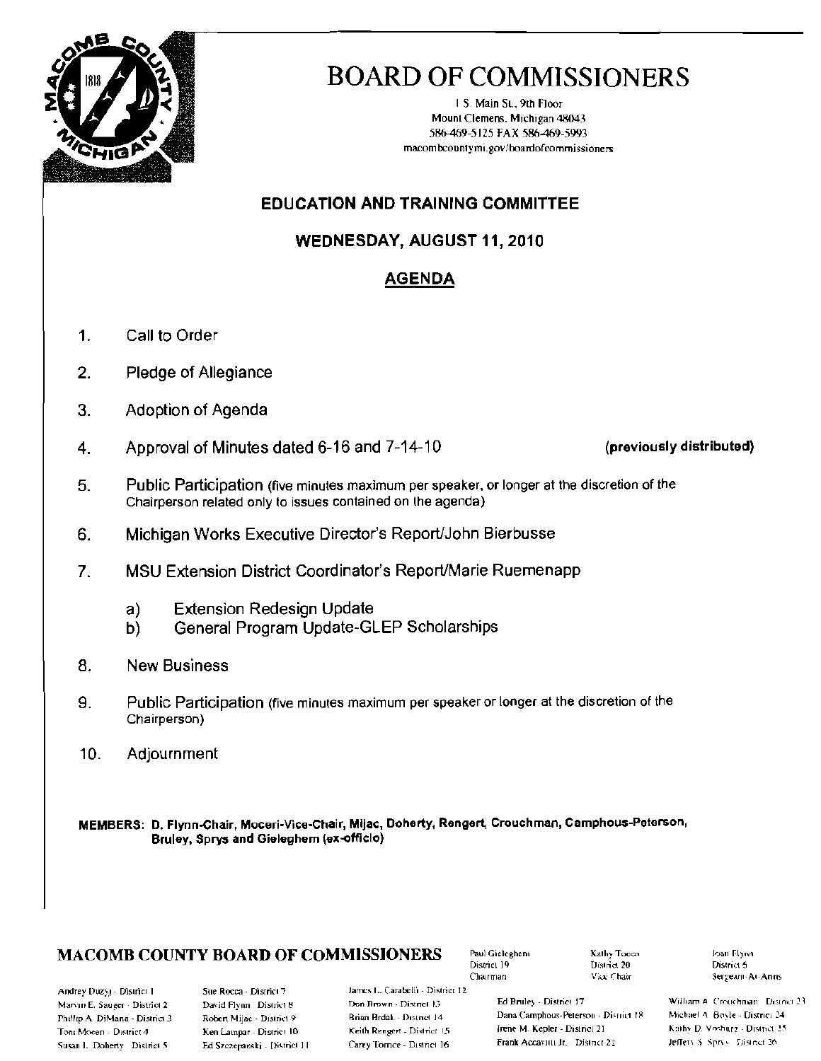

# **BOARD OF COMMISSIONERS**

1 S. Main St., 9th Floor Mount Clemens, Michigan 48043 586-469-5125 FAX 586-469-5993 macombcountymi.gov/boardofcommissioners

### **EDUCATION AND TRAINING COMMITTEE**

WEDNESDAY, AUGUST 11, 2010

### **AGENDA**

- $1.$ Call to Order
- $\overline{2}$ . Pledge of Allegiance
- 3. Adoption of Agenda
- Approval of Minutes dated 6-16 and 7-14-10 4.

(previously distributed)

- 5. Public Participation (five minutes maximum per speaker, or longer at the discretion of the Chairperson related only to issues contained on the agenda)
- 6. Michigan Works Executive Director's Report/John Bierbusse
- $7<sub>1</sub>$ MSU Extension District Coordinator's Report/Marie Ruemenapp
	- **Extension Redesign Update** a)
	- General Program Update-GLEP Scholarships b)
- 8. **New Business**
- 9. Public Participation (five minutes maximum per speaker or longer at the discretion of the Chairperson)
- 10. Adjournment

MEMBERS: D. Flynn-Chair, Moceri-Vice-Chair, Mijac, Doherty, Rengert, Crouchman, Camphous-Peterson, Bruley, Sprys and Gieleghem (ex-officio)

### **MACOMB COUNTY BOARD OF COMMISSIONERS**

Paul Gieleghem District 19 Chairman

Kathy Tocon District 20 Vice Chair

Joan Flynn District 6 Sergeant-At-Arms

Andrey Duzyj - District 1 Marvin E. Sauger - District 2 Phillip A. DiMana - District 3 Toni Mocen - District 4 Susan L. Doherty District 5

Sue Rocca - District 7 David Flynn District 8 Robert Mijac - District 9 Ken Lampar - District 10 Ed Szczepanski - District 11 James L. Carabelli - District 12. Don Brown - District 13 Brian Brdak - District 14 Keith Rengert - District 15 Carey Tornce - District 16

Ed Bruley - District 17 Dana Camphous-Peterson - District 18 Irene M. Kepler - District 21 Frank Accavitti Jr. District 22

William A. Crouchnan District 23 Michael A. Boyle - District 24 Kaiby D. Voshurg - District 25 Jeffery S. Sprys., District 26.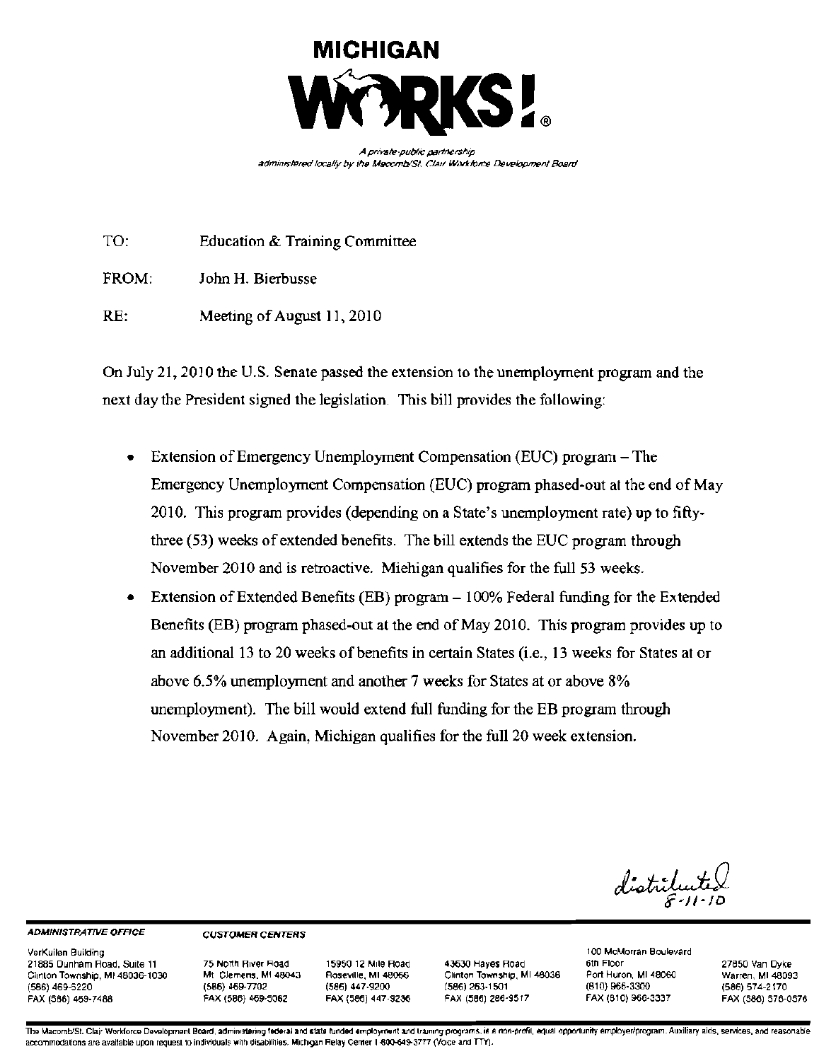

A private-public partnership administered locally by the Macomb/St. Clair Workforce Development Board

TO: **Education & Training Committee** 

FROM: John H. Bierbusse

 $RE:$ Meeting of August 11, 2010

On July 21, 2010 the U.S. Senate passed the extension to the unemployment program and the next day the President signed the legislation. This bill provides the following:

- Extension of Emergency Unemployment Compensation (EUC) program  $-$  The Emergency Unemployment Compensation (EUC) program phased-out at the end of May 2010. This program provides (depending on a State's unemployment rate) up to fiftythree (53) weeks of extended benefits. The bill extends the EUC program through November 2010 and is retroactive. Miehigan qualifies for the full 53 weeks.
- Extension of Extended Benefits (EB) program 100% Federal funding for the Extended Benefits (EB) program phased-out at the end of May 2010. This program provides up to an additional 13 to 20 weeks of benefits in certain States (i.e., 13 weeks for States at or above 6.5% unemployment and another 7 weeks for States at or above 8% unemployment). The bill would extend full funding for the EB program through November 2010. Again, Michigan qualifies for the full 20 week extension.

distritu

#### **ADMINISTRATIVE OFFICE**

#### **CUSTOMER CENTERS**

VerKuilen Building 21885 Dunham Road, Suite 11 Clinton Township, MI 48036-1030 (586) 469-5220 FAX (566) 469-7488

75 North River Road Mt. Clemens, MI 48043 (586) 459-7702 FAX (586) 469-5062

15950 12 Mile Road Roseville, MI 48066 (586) 447-9200 FAX (586) 447-9236

43630 Hayes Road Clinton Township, MI 48038 (586) 263-1501 FAX (586) 286-9517

100 McMorran Boulevard 6th Floor Port Huron, MI 48060  $(810)$  966-3300 FAX (810) 966-3337

27850 Van Dyke Warren, MI 48093 (586) 574-2170 FAX (586) 576-0576

The Macomb/St. Clair Workforce Development Board, administering federal and state funded employment and training programs, is a non-profit, equal opportunity employer/program. Auxiliary aids, services, and reasonable accommodations are available upon request to individuals with disabilities. Michigan Relay Center 1-800-649-3777 (Voice and TTY).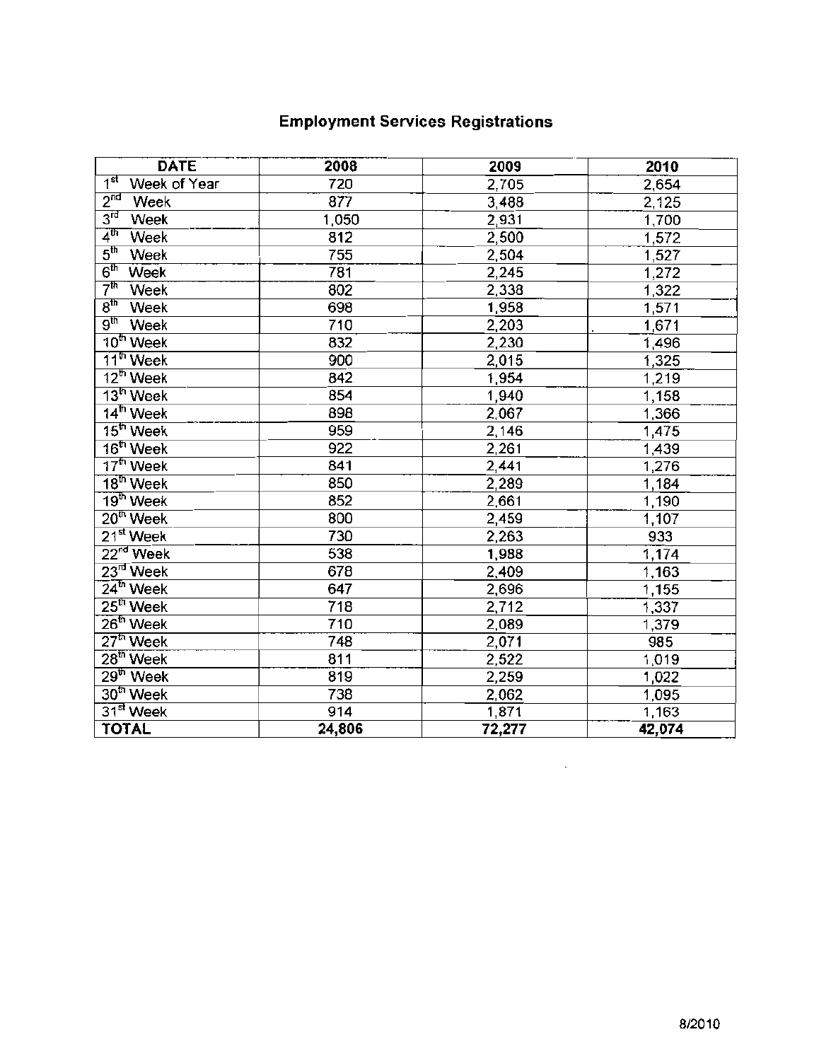### **Employment Services Registrations**

| <b>DATE</b>                              | 2008   | 2009   | 2010   |
|------------------------------------------|--------|--------|--------|
| 1 <sup>st</sup><br>Week of Year          | 720    | 2,705  | 2,654  |
| 2 <sup>nd</sup><br>Week                  | 877    | 3,488  | 2,125  |
| $3^{\overline{\text{id}}}$<br>Week       | 1,050  | 2,931  | 1,700  |
| 4 <sup>th</sup><br>Week                  | 812    | 2,500  | 1,572  |
| $5^{\text{th}}$<br>Week                  | 755    | 2,504  | 1,527  |
| $\overline{6^{\text{th}}}$<br>Week       | 781    | 2,245  | 1,272  |
| 7 <sup>th</sup><br>Week                  | 802    | 2,338  | 1,322  |
| 8 <sup>th</sup><br>Week                  | 698    | 1,958  | 1,571  |
| $\overline{{\bf 9}^{\text{th}}}$<br>Week | 710    | 2,203  | 1,671  |
| $10th$ Week                              | 832    | 2,230  | 1,496  |
| $11th$ Week                              | 900    | 2,015  | 1,325  |
| $12^{\text{th}}$ Week                    | 842    | 1,954  | 1,219  |
| $13^{\text{th}}$ Week                    | 854    | 1,940  | 1,158  |
| $14^{\text{th}}$ Week                    | 898    | 2,067  | 1,366  |
| $15th$ Week                              | 959    | 2,146  | 1,475  |
| $16th$ Week                              | 922    | 2,261  | 1,439  |
| $17th$ Week                              | 841    | 2,441  | 1,276  |
| $18th$ Week                              | 850    | 2,289  | 1,184  |
| $19th$ Week                              | 852    | 2,661  | 1,190  |
| 20 <sup>th</sup> Week                    | 800    | 2,459  | 1,107  |
| 21 <sup>st</sup> Week                    | 730    | 2,263  | 933    |
| $22nd$ Week                              | 538    | 1,988  | 1,174  |
| $23rd$ Week                              | 678    | 2,409  | 1,163  |
| $24^{\mathrm{th}}$ Week                  | 647    | 2,696  | 1,155  |
| $25th$ Week                              | 718    | 2,712  | 1,337  |
| 26 <sup>th</sup> Week                    | 710    | 2,089  | 1,379  |
| $27th$ Week                              | 748    | 2,071  | 985    |
| $28th$ Week                              | 811    | 2,522  | 1,019  |
| $29th$ Week                              | 819    | 2,259  | 1,022  |
| 30 <sup>th</sup> Week                    | 738    | 2,062  | 1,095  |
| 31 <sup>st</sup> Week                    | 914    | 1,871  | 1,163  |
| <b>TOTAL</b>                             | 24,806 | 72,277 | 42,074 |

 $\sim 10^{-1}$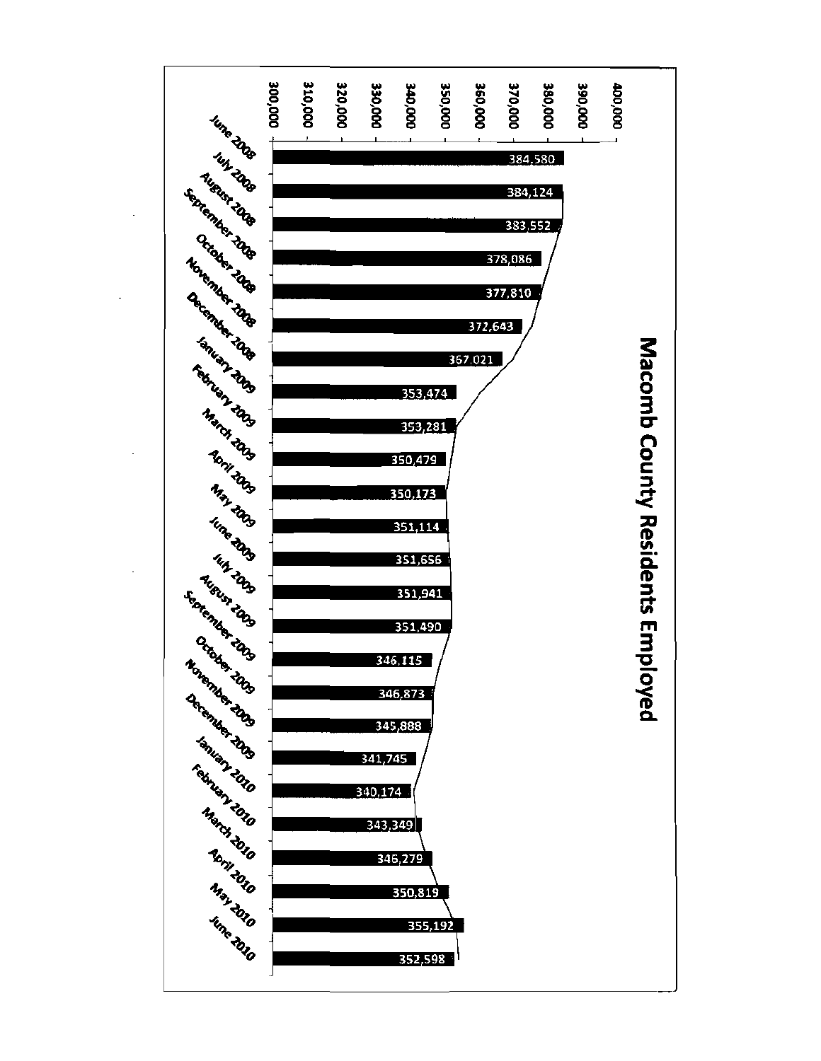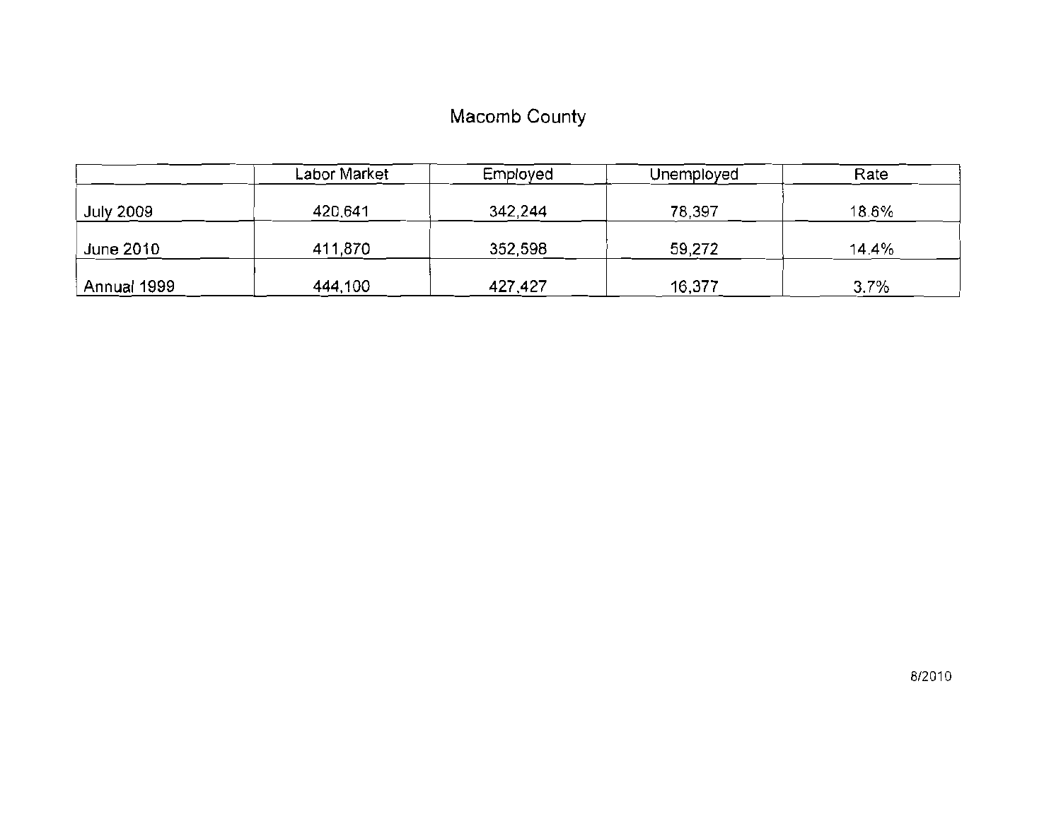## Macomb County

|                  | Labor Market. | Employed | Unemployed | Rate  |
|------------------|---------------|----------|------------|-------|
| <b>July 2009</b> | 420,641       | 342,244  | 78,397     | 18.6% |
| June 2010        | 411,870       | 352,598  | 59,272     | 14.4% |
| Annual 1999      | 444,100       | 427,427  | 16,377     | 3.7%  |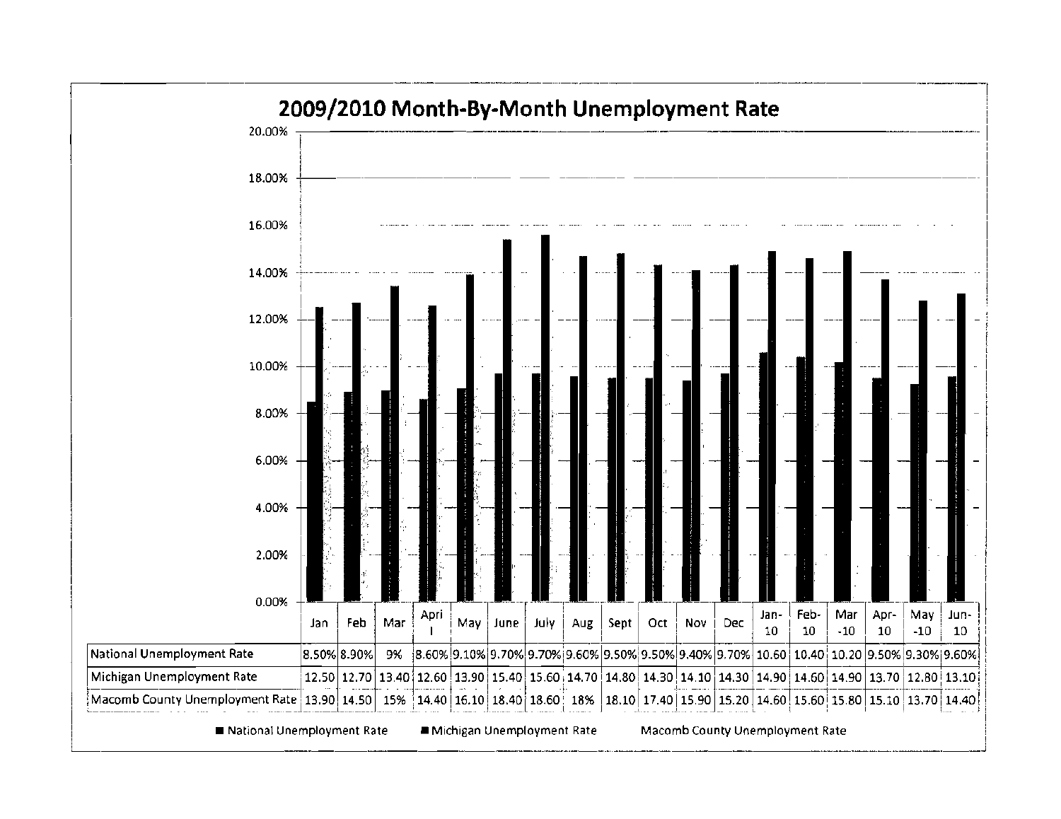